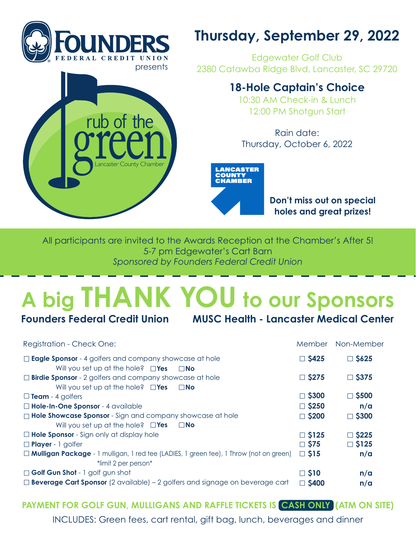

All participants are invited to the Awards Reception at the Chamber's After 5! 5-7 pm Edgewater's Cart Barn *Sponsored by Founders Federal Credit Union*

## **A big THANK YOU to our Sponsors**

**Founders Federal Credit Union MUSC Health - Lancaster Medical Center**

| <b>Registration - Check One:</b>                                                                                      | Member          | Non-Member      |
|-----------------------------------------------------------------------------------------------------------------------|-----------------|-----------------|
| $\Box$ <b>Eagle Sponsor</b> - 4 golfers and company showcase at hole                                                  | $\square$ \$425 | $\square$ \$625 |
| Will you set up at the hole? $\Box$ Yes<br>$\Box$ No                                                                  |                 |                 |
| $\Box$ <b>Birdie Sponsor</b> - 2 golfers and company showcase at hole                                                 | $\square$ \$275 | $\Box$ \$375    |
| Will you set up at the hole? $\square$ Yes<br>$\Box$ No                                                               |                 |                 |
| $\Box$ Team - 4 golfers                                                                                               | $\Box$ \$300    | $\Box$ \$500    |
| <b>Hole-In-One Sponsor</b> - 4 available                                                                              | $\Box$ \$250    | n/a             |
| $\Box$ Hole Showcase Sponsor - Sign and company showcase at hole                                                      | $\Box$ \$200    | $\Box$ \$300    |
| Will you set up at the hole? $\square$ Yes<br>$\square$ No                                                            |                 |                 |
| $\Box$ <b>Hole Sponsor</b> - Sign only at display hole                                                                | $\square$ \$125 | $\Box$ \$225    |
| $\Box$ Player - 1 golfer                                                                                              | $\Box$ \$75     | $\square$ \$125 |
| $\Box$ Mulligan Package - 1 mulligan, 1 red tee (LADIES, 1 green tee), 1 Throw (not on green)<br>*limit 2 per person* | $\Box$ \$15     | n/a             |
| Golf Gun Shot - 1 golf gun shot                                                                                       | $\Box$ \$10     | n/a             |
| $\Box$ <b>Beverage Cart Sponsor</b> (2 available) – 2 golfers and signage on beverage cart                            | $\Box$ \$400    | n/a             |

**PAYMENT FOR GOLF GUN, MULLIGANS AND RAFFLE TICKETS IS CASH ONLY (ATM ON SITE)**

INCLUDES: Green fees, cart rental, gift bag, lunch, beverages and dinner